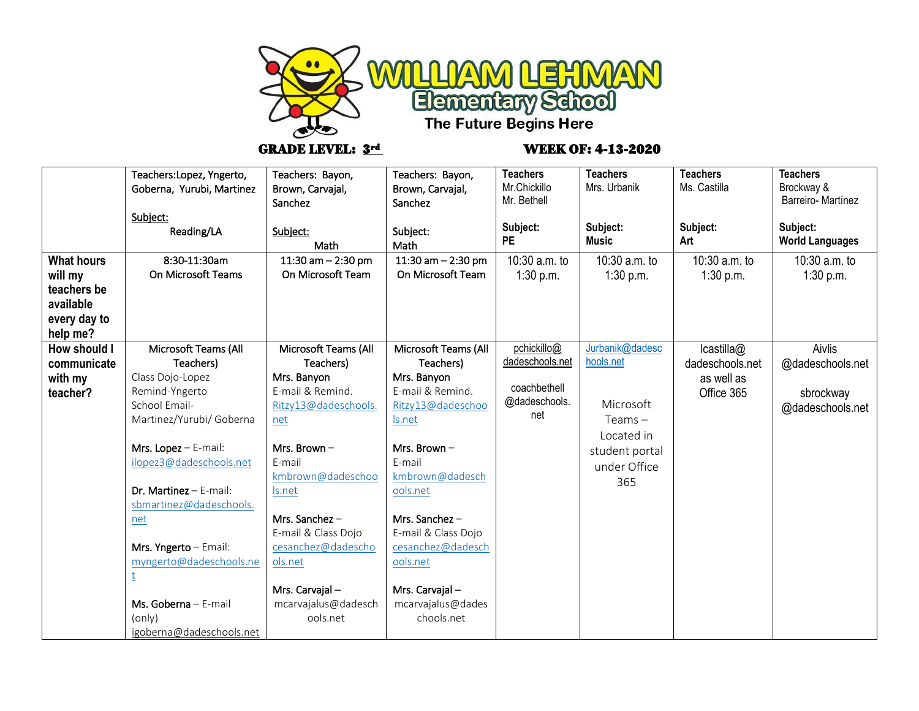

## GRADE LEVEL:  $3^{rd}$  WEEK OF: 4-13-2020

| Teachers: Bayon,<br>Brown, Carvajal,<br>Sanchez<br>Subject:<br>Math<br>11:30 am $- 2:30$ pm<br>On Microsoft Team                                                                                                                                                                 | Teachers: Bayon,<br>Brown, Carvajal,<br>Sanchez<br>Subject:<br>Math<br>11:30 am $- 2:30$ pm<br>On Microsoft Team                                                                                                                                                               | <b>Teachers</b><br>Mr.Chickillo<br>Mr. Bethell<br>Subject:<br><b>PE</b><br>10:30 a.m. to<br>1:30 p.m. | <b>Teachers</b><br>Mrs. Urbanik<br>Subject:<br><b>Music</b><br>10:30 a.m. to<br>1:30 p.m.                   | <b>Teachers</b><br>Ms. Castilla<br>Subject:<br>Art<br>10:30 a.m. to<br>1:30 p.m. | <b>Teachers</b><br>Brockway &<br>Barreiro-Martínez<br>Subject:<br><b>World Languages</b><br>10:30 a.m. to<br>1:30 p.m. |
|----------------------------------------------------------------------------------------------------------------------------------------------------------------------------------------------------------------------------------------------------------------------------------|--------------------------------------------------------------------------------------------------------------------------------------------------------------------------------------------------------------------------------------------------------------------------------|-------------------------------------------------------------------------------------------------------|-------------------------------------------------------------------------------------------------------------|----------------------------------------------------------------------------------|------------------------------------------------------------------------------------------------------------------------|
|                                                                                                                                                                                                                                                                                  |                                                                                                                                                                                                                                                                                |                                                                                                       |                                                                                                             |                                                                                  |                                                                                                                        |
| Microsoft Teams (All<br>Teachers)<br>Mrs. Banyon<br>E-mail & Remind.<br>Ritzy13@dadeschools.<br>net<br>Mrs. Brown $-$<br>E-mail<br>kmbrown@dadeschoo<br>Is.net<br>Mrs. Sanchez-<br>E-mail & Class Dojo<br>cesanchez@dadescho<br>ols.net<br>Mrs. Carvajal-<br>mcarvajalus@dadesch | Microsoft Teams (All<br>Teachers)<br>Mrs. Banyon<br>E-mail & Remind.<br>Ritzy13@dadeschoo<br>Is.net<br>Mrs. Brown $-$<br>E-mail<br>kmbrown@dadesch<br>ools.net<br>Mrs. Sanchez-<br>E-mail & Class Dojo<br>cesanchez@dadesch<br>ools.net<br>Mrs. Carvajal-<br>mcarvajalus@dades | pchickillo@<br>dadeschools.net<br>coachbethell<br>@dadeschools.<br>net                                | Jurbanik@dadesc<br>hools.net<br>Microsoft<br>Teams –<br>Located in<br>student portal<br>under Office<br>365 | lcastilla@<br>dadeschools.net<br>as well as<br>Office 365                        | Aivlis<br>@dadeschools.net<br>sbrockway<br>@dadeschools.net                                                            |
| Goberna, Yurubi, Martinez                                                                                                                                                                                                                                                        | myngerto@dadeschools.ne<br>ools.net<br>igoberna@dadeschools.net                                                                                                                                                                                                                | chools.net                                                                                            |                                                                                                             |                                                                                  |                                                                                                                        |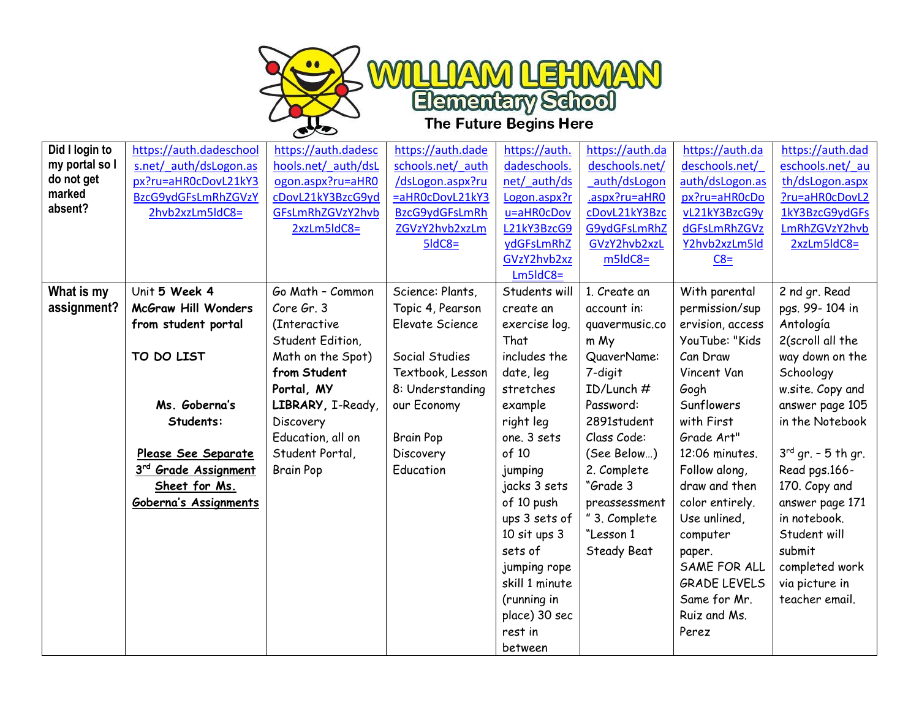

| Did I login to | https://auth.dadeschool          | https://auth.dadesc | https://auth.dade | https://auth.    | https://auth.da | https://auth.da     | https://auth.dad        |
|----------------|----------------------------------|---------------------|-------------------|------------------|-----------------|---------------------|-------------------------|
| my portal so I | s.net/ auth/dsLogon.as           | hools.net/ auth/dsL | schools.net/ auth | dadeschools.     | deschools.net/  | deschools.net/      | eschools.net/ au        |
| do not get     | px?ru=aHR0cDovL21kY3             | ogon.aspx?ru=aHR0   | /dsLogon.aspx?ru  | net/ auth/ds     | auth/dsLogon    | auth/dsLogon.as     | th/dsLogon.aspx         |
| marked         | BzcG9ydGFsLmRhZGVzY              | cDovL21kY3BzcG9yd   | =aHR0cDovL21kY3   | Logon.aspx?r     | .aspx?ru=aHR0   | px?ru=aHR0cDo       | ?ru=aHR0cDovL2          |
| absent?        | 2hvb2xzLm5ldC8=                  | GFsLmRhZGVzY2hvb    | BzcG9ydGFsLmRh    | u=aHR0cDov       | cDovL21kY3Bzc   | vL21kY3BzcG9y       | 1kY3BzcG9ydGFs          |
|                |                                  | 2xzLm5ldC8=         | ZGVzY2hvb2xzLm    | L21kY3BzcG9      | G9ydGFsLmRhZ    | dGFsLmRhZGVz        | LmRhZGVzY2hvb           |
|                |                                  |                     | $5$ ldC8=         | ydGFsLmRhZ       | GVzY2hvb2xzL    | Y2hvb2xzLm5ld       | 2xzLm5ldC8=             |
|                |                                  |                     |                   | GVzY2hvb2xz      | $m5$ ld $C8=$   | $C8=$               |                         |
|                |                                  |                     |                   | $Lm5ldC8=$       |                 |                     |                         |
| What is my     | Unit 5 Week 4                    | Go Math - Common    | Science: Plants,  | Students will    | 1. Create an    | With parental       | 2 nd gr. Read           |
| assignment?    | <b>McGraw Hill Wonders</b>       | Core Gr. 3          | Topic 4, Pearson  | create an        | account in:     | permission/sup      | pgs. 99-104 in          |
|                | from student portal              | (Interactive        | Elevate Science   | exercise log.    | quavermusic.co  | ervision, access    | Antología               |
|                |                                  | Student Edition,    |                   | That             | m My            | YouTube: "Kids      | 2(scroll all the        |
|                | TO DO LIST                       | Math on the Spot)   | Social Studies    | includes the     | QuaverName:     | Can Draw            | way down on the         |
|                |                                  | from Student        | Textbook, Lesson  | date, leg        | 7-digit         | Vincent Van         | Schoology               |
|                |                                  | Portal, MY          | 8: Understanding  | stretches        | ID/Lunch #      | Gogh                | w.site. Copy and        |
|                | Ms. Goberna's                    | LIBRARY, I-Ready,   | our Economy       | example          | Password:       | Sunflowers          | answer page 105         |
|                | Students:                        | Discovery           |                   | right leg        | 2891student     | with First          | in the Notebook         |
|                |                                  | Education, all on   | <b>Brain Pop</b>  | one. 3 sets      | Class Code:     | Grade Art"          |                         |
|                | Please See Separate              | Student Portal,     | Discovery         | of 10            | (See Below)     | 12:06 minutes.      | $3^{rd}$ gr. - 5 th gr. |
|                | 3 <sup>rd</sup> Grade Assignment | <b>Brain Pop</b>    | Education         | jumping          | 2. Complete     | Follow along,       | Read pgs.166-           |
|                | Sheet for Ms.                    |                     |                   | jacks 3 sets     | "Grade 3        | draw and then       | 170. Copy and           |
|                | Goberna's Assignments            |                     |                   | of 10 push       | preassessment   | color entirely.     | answer page 171         |
|                |                                  |                     |                   | ups 3 sets of    | " 3. Complete   | Use unlined,        | in notebook.            |
|                |                                  |                     |                   | $10$ sit ups $3$ | "Lesson 1       | computer            | Student will            |
|                |                                  |                     |                   | sets of          | Steady Beat     | paper.              | submit                  |
|                |                                  |                     |                   | jumping rope     |                 | SAME FOR ALL        | completed work          |
|                |                                  |                     |                   | skill 1 minute   |                 | <b>GRADE LEVELS</b> | via picture in          |
|                |                                  |                     |                   | (running in      |                 | Same for Mr.        | teacher email.          |
|                |                                  |                     |                   | place) 30 sec    |                 | Ruiz and Ms.        |                         |
|                |                                  |                     |                   | rest in          |                 | Perez               |                         |
|                |                                  |                     |                   | between          |                 |                     |                         |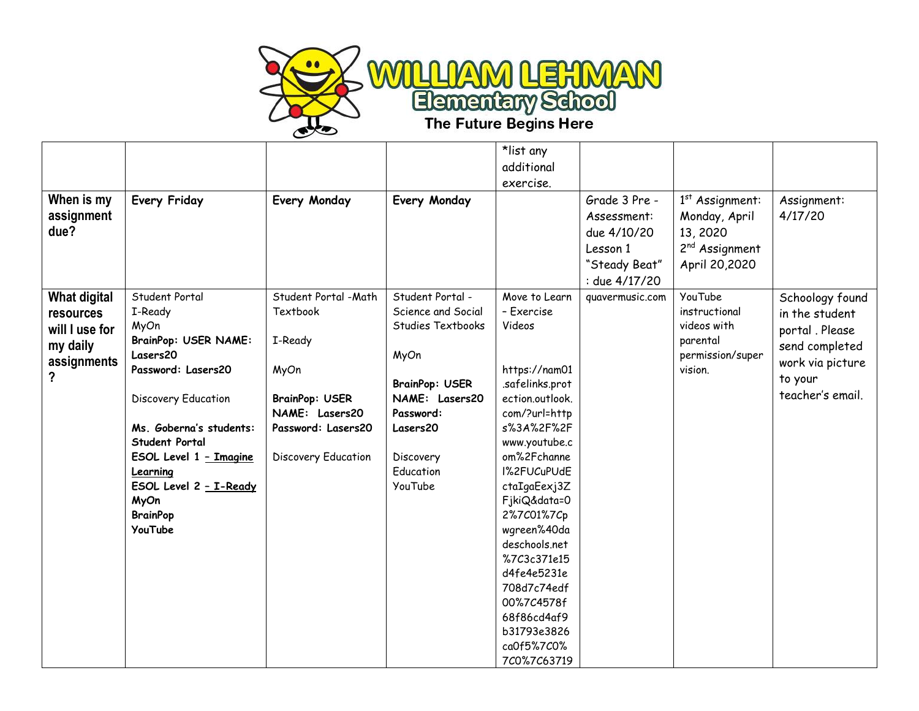

|                                  |                             |                       |                       | *list any                  |                                             |                                                |                        |
|----------------------------------|-----------------------------|-----------------------|-----------------------|----------------------------|---------------------------------------------|------------------------------------------------|------------------------|
|                                  |                             |                       |                       | additional                 |                                             |                                                |                        |
|                                  |                             |                       |                       | exercise.                  |                                             |                                                |                        |
| When is my<br>assignment<br>due? | <b>Every Friday</b>         | Every Monday          | Every Monday          |                            | Grade 3 Pre -<br>Assessment:<br>due 4/10/20 | $1st$ Assignment:<br>Monday, April<br>13, 2020 | Assignment:<br>4/17/20 |
|                                  |                             |                       |                       |                            | Lesson 1                                    | 2 <sup>nd</sup> Assignment                     |                        |
|                                  |                             |                       |                       |                            | "Steady Beat"                               | April 20,2020                                  |                        |
|                                  |                             |                       |                       |                            | : due 4/17/20                               |                                                |                        |
| <b>What digital</b>              | Student Portal              | Student Portal - Math | Student Portal -      | Move to Learn              | quavermusic.com                             | YouTube                                        | Schoology found        |
| resources                        | I-Ready                     | <b>Textbook</b>       | Science and Social    | - Exercise                 |                                             | instructional                                  | in the student         |
| will I use for                   | MyOn                        |                       | Studies Textbooks     | Videos                     |                                             | videos with                                    | portal . Please        |
| my daily                         | <b>BrainPop: USER NAME:</b> | I-Ready               |                       |                            |                                             | parental                                       | send completed         |
| assignments                      | Lasers20                    |                       | MyOn                  |                            |                                             | permission/super                               | work via picture       |
| ?                                | Password: Lasers20          | MyOn                  |                       | https://nam01              |                                             | vision.                                        | to your                |
|                                  |                             |                       | <b>BrainPop: USER</b> | .safelinks.prot            |                                             |                                                | teacher's email.       |
|                                  | Discovery Education         | <b>BrainPop: USER</b> | NAME: Lasers20        | ection.outlook.            |                                             |                                                |                        |
|                                  |                             | NAME: Lasers20        | Password:             | com/?url=http              |                                             |                                                |                        |
|                                  | Ms. Goberna's students:     | Password: Lasers20    | Lasers20              | s%3A%2F%2F                 |                                             |                                                |                        |
|                                  | <b>Student Portal</b>       |                       |                       | www.youtube.c              |                                             |                                                |                        |
|                                  | ESOL Level 1 - Imagine      | Discovery Education   | Discovery             | om%2Fchanne                |                                             |                                                |                        |
|                                  | Learning                    |                       | Education<br>YouTube  | I%2FUCuPUdE                |                                             |                                                |                        |
|                                  | ESOL Level 2 - I-Ready      |                       |                       | ctaIgaEexj3Z               |                                             |                                                |                        |
|                                  | MyOn<br><b>BrainPop</b>     |                       |                       | FjkiQ&data=0<br>2%7C01%7Cp |                                             |                                                |                        |
|                                  | YouTube                     |                       |                       | wgreen%40da                |                                             |                                                |                        |
|                                  |                             |                       |                       | deschools.net              |                                             |                                                |                        |
|                                  |                             |                       |                       | %7C3c371e15                |                                             |                                                |                        |
|                                  |                             |                       |                       | d4fe4e5231e                |                                             |                                                |                        |
|                                  |                             |                       |                       | 708d7c74edf                |                                             |                                                |                        |
|                                  |                             |                       |                       | 00%7C4578f                 |                                             |                                                |                        |
|                                  |                             |                       |                       | 68f86cd4af9                |                                             |                                                |                        |
|                                  |                             |                       |                       | b31793e3826                |                                             |                                                |                        |
|                                  |                             |                       |                       | ca0f5%7C0%                 |                                             |                                                |                        |
|                                  |                             |                       |                       | 7C0%7C63719                |                                             |                                                |                        |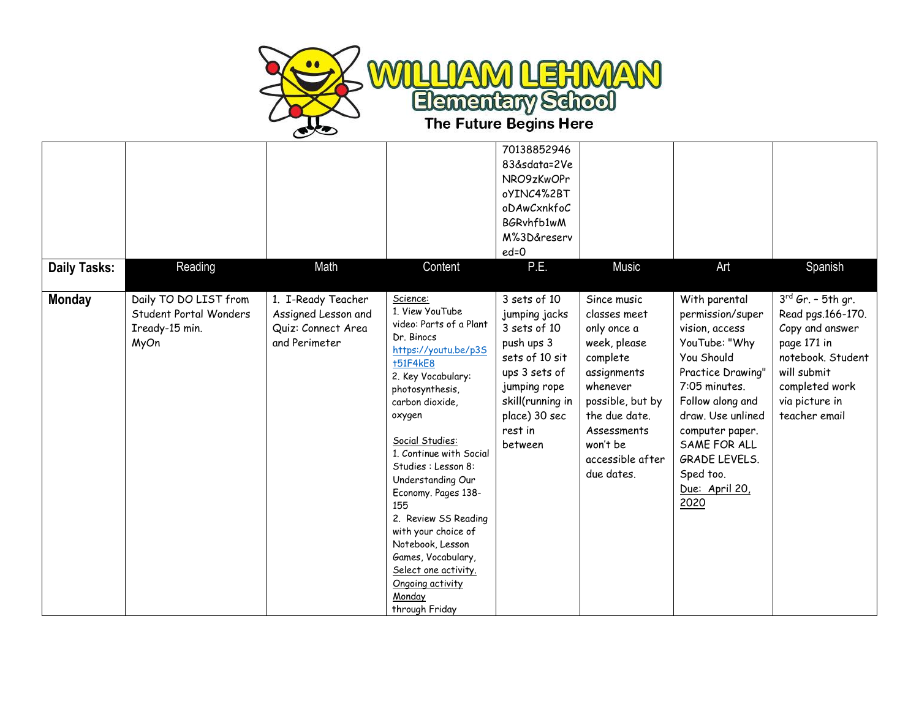

|                     |                                                                           |                                                                                  |                                                                                                                                                                                                                                                                                                                                                                                                                                                                                | 70138852946<br>83&sdata=2Ve<br>NRO9zKwOPr<br>oYINC4%2BT<br>oDAwCxnkfoC<br>BGRvhfb1wM<br>M%3D&reserv<br>$ed = 0$                                                           |                                                                                                                                                                                                     |                                                                                                                                                                                                                                                                     |                                                                                                                                                                        |
|---------------------|---------------------------------------------------------------------------|----------------------------------------------------------------------------------|--------------------------------------------------------------------------------------------------------------------------------------------------------------------------------------------------------------------------------------------------------------------------------------------------------------------------------------------------------------------------------------------------------------------------------------------------------------------------------|---------------------------------------------------------------------------------------------------------------------------------------------------------------------------|-----------------------------------------------------------------------------------------------------------------------------------------------------------------------------------------------------|---------------------------------------------------------------------------------------------------------------------------------------------------------------------------------------------------------------------------------------------------------------------|------------------------------------------------------------------------------------------------------------------------------------------------------------------------|
| <b>Daily Tasks:</b> | Reading                                                                   | Math                                                                             | Content                                                                                                                                                                                                                                                                                                                                                                                                                                                                        | P.E.                                                                                                                                                                      | <b>Music</b>                                                                                                                                                                                        | Art                                                                                                                                                                                                                                                                 | Spanish                                                                                                                                                                |
| <b>Monday</b>       | Daily TO DO LIST from<br>Student Portal Wonders<br>Iready-15 min.<br>MyOn | 1. I-Ready Teacher<br>Assigned Lesson and<br>Quiz: Connect Area<br>and Perimeter | Science:<br>1. View YouTube<br>video: Parts of a Plant<br>Dr. Binocs<br>https://youtu.be/p3S<br><b>+51F4kE8</b><br>2. Key Vocabulary:<br>photosynthesis,<br>carbon dioxide,<br>oxygen<br>Social Studies:<br>1. Continue with Social<br>Studies : Lesson 8:<br>Understanding Our<br>Economy. Pages 138-<br>155<br>2. Review SS Reading<br>with your choice of<br>Notebook, Lesson<br>Games, Vocabulary,<br>Select one activity.<br>Ongoing activity<br>Monday<br>through Friday | 3 sets of 10<br>jumping jacks<br>3 sets of 10<br>push ups 3<br>sets of 10 sit<br>ups 3 sets of<br>jumping rope<br>skill(running in<br>place) 30 sec<br>rest in<br>between | Since music<br>classes meet<br>only once a<br>week, please<br>complete<br>assignments<br>whenever<br>possible, but by<br>the due date.<br>Assessments<br>won't be<br>accessible after<br>due dates. | With parental<br>permission/super<br>vision, access<br>YouTube: "Why<br>You Should<br>Practice Drawing"<br>7:05 minutes.<br>Follow along and<br>draw. Use unlined<br>computer paper.<br>SAME FOR ALL<br><b>GRADE LEVELS.</b><br>Sped too.<br>Due: April 20,<br>2020 | $3^{rd}$ Gr. - 5th gr.<br>Read pgs.166-170.<br>Copy and answer<br>page 171 in<br>notebook. Student<br>will submit<br>completed work<br>via picture in<br>teacher email |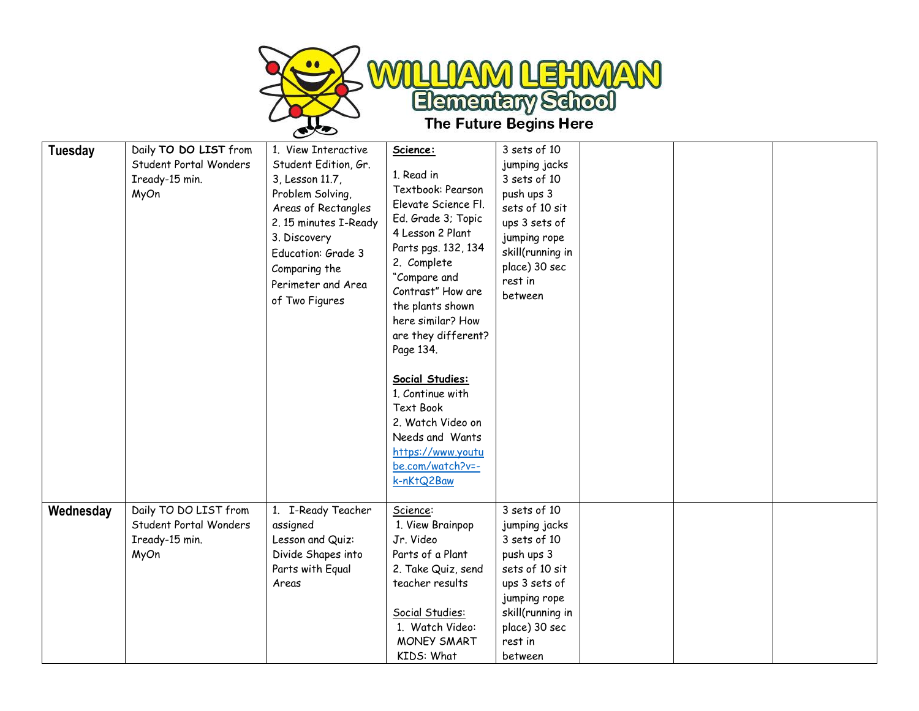

| <b>Tuesday</b> | Daily TO DO LIST from<br>Student Portal Wonders<br>Iready-15 min.<br>MyOn | 1. View Interactive<br>Student Edition, Gr.<br>3, Lesson 11.7,<br>Problem Solving,<br>Areas of Rectangles<br>2.15 minutes I-Ready<br>3. Discovery<br>Education: Grade 3<br>Comparing the<br>Perimeter and Area<br>of Two Figures | Science:<br>1. Read in<br>Textbook: Pearson<br>Elevate Science Fl.<br>Ed. Grade 3; Topic<br>4 Lesson 2 Plant<br>Parts pgs. 132, 134<br>2. Complete<br>"Compare and<br>Contrast" How are<br>the plants shown<br>here similar? How<br>are they different?<br>Page 134.<br>Social Studies:<br>1. Continue with<br>Text Book<br>2. Watch Video on<br>Needs and Wants<br>https://www.youtu<br>be.com/watch?v=-<br>k-nKtQ2Baw | 3 sets of 10<br>jumping jacks<br>3 sets of 10<br>push ups 3<br>sets of 10 sit<br>ups 3 sets of<br>jumping rope<br>skill(running in<br>place) 30 sec<br>rest in<br>between |  |  |
|----------------|---------------------------------------------------------------------------|----------------------------------------------------------------------------------------------------------------------------------------------------------------------------------------------------------------------------------|-------------------------------------------------------------------------------------------------------------------------------------------------------------------------------------------------------------------------------------------------------------------------------------------------------------------------------------------------------------------------------------------------------------------------|---------------------------------------------------------------------------------------------------------------------------------------------------------------------------|--|--|
| Wednesday      | Daily TO DO LIST from<br>Student Portal Wonders<br>Iready-15 min.<br>MyOn | 1. I-Ready Teacher<br>assigned<br>Lesson and Quiz:<br>Divide Shapes into<br>Parts with Equal<br>Areas                                                                                                                            | Science:<br>1. View Brainpop<br>Jr. Video<br>Parts of a Plant<br>2. Take Quiz, send<br>teacher results<br>Social Studies:<br>1. Watch Video:<br>MONEY SMART<br>KIDS: What                                                                                                                                                                                                                                               | 3 sets of 10<br>jumping jacks<br>3 sets of 10<br>push ups 3<br>sets of 10 sit<br>ups 3 sets of<br>jumping rope<br>skill(running in<br>place) 30 sec<br>rest in<br>between |  |  |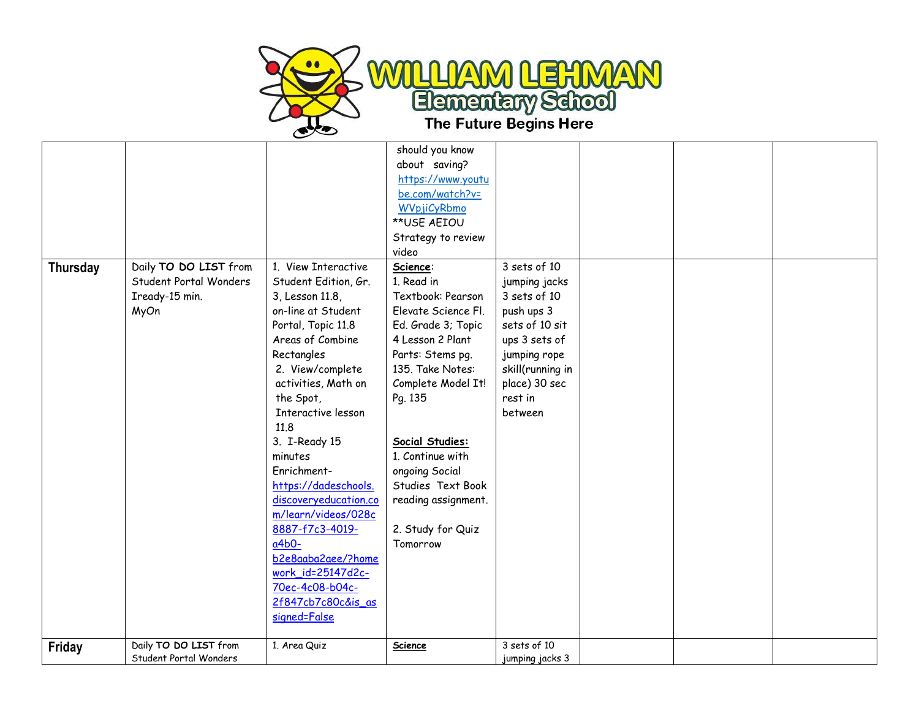

|                 |                        |                       | should you know     |                  |  |  |
|-----------------|------------------------|-----------------------|---------------------|------------------|--|--|
|                 |                        |                       | about saving?       |                  |  |  |
|                 |                        |                       | https://www.youtu   |                  |  |  |
|                 |                        |                       | be.com/watch?v=     |                  |  |  |
|                 |                        |                       | WVpjiCyRbmo         |                  |  |  |
|                 |                        |                       | **USE AEIOU         |                  |  |  |
|                 |                        |                       | Strategy to review  |                  |  |  |
|                 |                        |                       | video               |                  |  |  |
| <b>Thursday</b> | Daily TO DO LIST from  | 1. View Interactive   | Science:            | 3 sets of 10     |  |  |
|                 | Student Portal Wonders | Student Edition, Gr.  | 1. Read in          | jumping jacks    |  |  |
|                 | Iready-15 min.         | 3, Lesson 11.8,       | Textbook: Pearson   | 3 sets of 10     |  |  |
|                 | MyOn                   | on-line at Student    | Elevate Science Fl. | push ups 3       |  |  |
|                 |                        | Portal, Topic 11.8    | Ed. Grade 3; Topic  | sets of 10 sit   |  |  |
|                 |                        | Areas of Combine      | 4 Lesson 2 Plant    | ups 3 sets of    |  |  |
|                 |                        | Rectangles            | Parts: Stems pg.    | jumping rope     |  |  |
|                 |                        | 2. View/complete      | 135. Take Notes:    | skill(running in |  |  |
|                 |                        | activities, Math on   | Complete Model It!  | place) 30 sec    |  |  |
|                 |                        | the Spot,             | Pg. 135             | rest in          |  |  |
|                 |                        | Interactive lesson    |                     | between          |  |  |
|                 |                        | 11.8                  |                     |                  |  |  |
|                 |                        | 3. I-Ready 15         | Social Studies:     |                  |  |  |
|                 |                        | minutes               | 1. Continue with    |                  |  |  |
|                 |                        | Enrichment-           | ongoing Social      |                  |  |  |
|                 |                        | https://dadeschools.  | Studies Text Book   |                  |  |  |
|                 |                        | discoveryeducation.co | reading assignment. |                  |  |  |
|                 |                        | m/learn/videos/028c   |                     |                  |  |  |
|                 |                        | 8887-f7c3-4019-       | 2. Study for Quiz   |                  |  |  |
|                 |                        | $a4b0-$               | Tomorrow            |                  |  |  |
|                 |                        | b2e8aaba2aee/?home    |                     |                  |  |  |
|                 |                        | work_id=25147d2c-     |                     |                  |  |  |
|                 |                        | 70ec-4c08-b04c-       |                     |                  |  |  |
|                 |                        | 2f847cb7c80c&is_as    |                     |                  |  |  |
|                 |                        | signed=False          |                     |                  |  |  |
|                 |                        |                       |                     |                  |  |  |
| Friday          | Daily TO DO LIST from  | 1. Area Quiz          | Science             | 3 sets of 10     |  |  |
|                 | Student Portal Wonders |                       |                     | jumping jacks 3  |  |  |